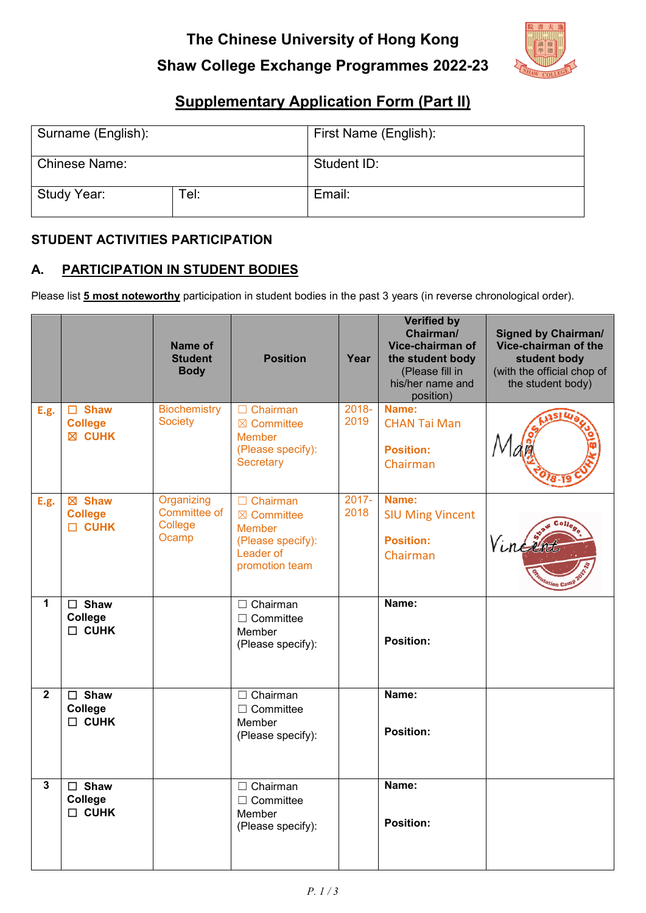# **Shaw College Exchange Programmes 2022-23**



## **Supplementary Application Form (Part II)**

| Surname (English):   |      | First Name (English): |  |
|----------------------|------|-----------------------|--|
| <b>Chinese Name:</b> |      | Student ID:           |  |
| Study Year:          | Tel: | Email:                |  |

#### **STUDENT ACTIVITIES PARTICIPATION**

## **A. PARTICIPATION IN STUDENT BODIES**

Please list **5 most noteworthy** participation in student bodies in the past 3 years (in reverse chronological order).

|                |                                                | Name of<br><b>Student</b><br><b>Body</b>       | <b>Position</b>                                                                                               | Year             | <b>Verified by</b><br>Chairman/<br>Vice-chairman of<br>the student body<br>(Please fill in<br>his/her name and<br>position) | <b>Signed by Chairman/</b><br>Vice-chairman of the<br>student body<br>(with the official chop of<br>the student body) |
|----------------|------------------------------------------------|------------------------------------------------|---------------------------------------------------------------------------------------------------------------|------------------|-----------------------------------------------------------------------------------------------------------------------------|-----------------------------------------------------------------------------------------------------------------------|
| E.g.           | $\Box$ Shaw<br><b>College</b><br><b>X CUHK</b> | <b>Biochemistry</b><br><b>Society</b>          | $\Box$ Chairman<br>$\boxtimes$ Committee<br><b>Member</b><br>(Please specify):<br>Secretary                   | 2018-<br>2019    | Name:<br><b>CHAN Tai Man</b><br><b>Position:</b><br>Chairman                                                                |                                                                                                                       |
| E.g.           | ⊠ Shaw<br><b>College</b><br><b>CUHK</b>        | Organizing<br>Committee of<br>College<br>Ocamp | $\Box$ Chairman<br>$\boxtimes$ Committee<br><b>Member</b><br>(Please specify):<br>Leader of<br>promotion team | $2017 -$<br>2018 | Name:<br><b>SIU Ming Vincent</b><br><b>Position:</b><br>Chairman                                                            | Vine                                                                                                                  |
| $\mathbf{1}$   | $\square$ Shaw<br>College<br>$\Box$ CUHK       |                                                | $\Box$ Chairman<br>$\Box$ Committee<br>Member<br>(Please specify):                                            |                  | Name:<br><b>Position:</b>                                                                                                   |                                                                                                                       |
| $\overline{2}$ | $\square$ Shaw<br>College<br>$\Box$ CUHK       |                                                | $\Box$ Chairman<br>$\Box$ Committee<br>Member<br>(Please specify):                                            |                  | Name:<br><b>Position:</b>                                                                                                   |                                                                                                                       |
| $\mathbf{3}$   | $\Box$ Shaw<br>College<br>$\Box$ CUHK          |                                                | $\Box$ Chairman<br>$\Box$ Committee<br>Member<br>(Please specify):                                            |                  | Name:<br><b>Position:</b>                                                                                                   |                                                                                                                       |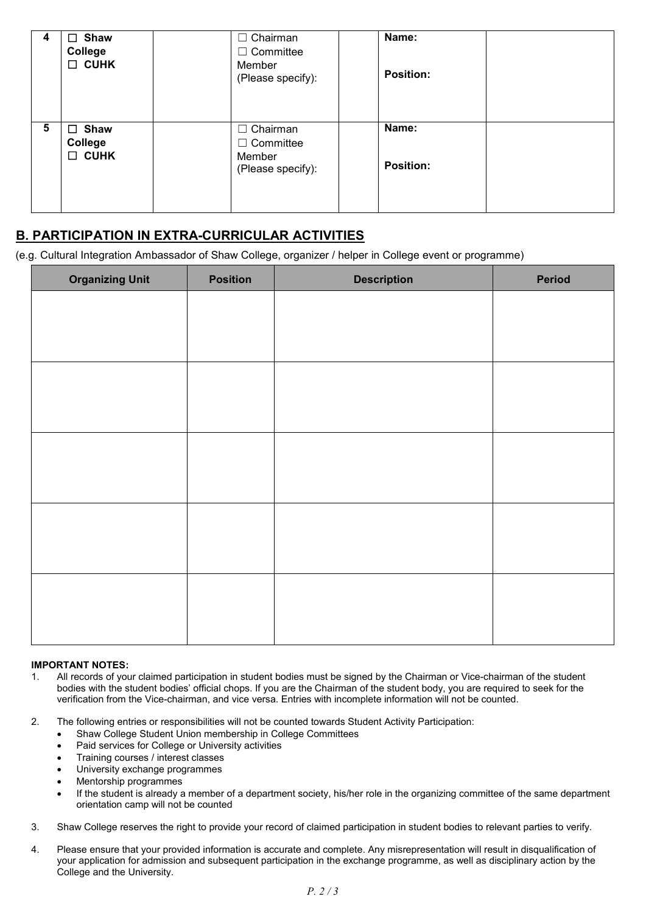| 4 | $\Box$ Shaw<br><b>College</b><br>$\Box$ CUHK    | $\Box$ Chairman<br>$\Box$ Committee<br>Member<br>(Please specify): | Name:<br><b>Position:</b> |  |
|---|-------------------------------------------------|--------------------------------------------------------------------|---------------------------|--|
| 5 | $\square$ Shaw<br><b>College</b><br>$\Box$ CUHK | $\Box$ Chairman<br>$\Box$ Committee<br>Member<br>(Please specify): | Name:<br><b>Position:</b> |  |

## **B. PARTICIPATION IN EXTRA-CURRICULAR ACTIVITIES**

(e.g. Cultural Integration Ambassador of Shaw College, organizer / helper in College event or programme)

| <b>Organizing Unit</b> | <b>Position</b> | <b>Description</b> | Period |
|------------------------|-----------------|--------------------|--------|
|                        |                 |                    |        |
|                        |                 |                    |        |
|                        |                 |                    |        |
|                        |                 |                    |        |
|                        |                 |                    |        |
|                        |                 |                    |        |
|                        |                 |                    |        |
|                        |                 |                    |        |
|                        |                 |                    |        |
|                        |                 |                    |        |
|                        |                 |                    |        |
|                        |                 |                    |        |
|                        |                 |                    |        |
|                        |                 |                    |        |
|                        |                 |                    |        |

#### **IMPORTANT NOTES:**

- 1. All records of your claimed participation in student bodies must be signed by the Chairman or Vice-chairman of the student bodies with the student bodies' official chops. If you are the Chairman of the student body, you are required to seek for the verification from the Vice-chairman, and vice versa. Entries with incomplete information will not be counted.
- 2. The following entries or responsibilities will not be counted towards Student Activity Participation:
	- Shaw College Student Union membership in College Committees
	- Paid services for College or University activities
	- Training courses / interest classes
	- University exchange programmes
	- Mentorship programmes
	- If the student is already a member of a department society, his/her role in the organizing committee of the same department orientation camp will not be counted
- 3. Shaw College reserves the right to provide your record of claimed participation in student bodies to relevant parties to verify.
- 4. Please ensure that your provided information is accurate and complete. Any misrepresentation will result in disqualification of your application for admission and subsequent participation in the exchange programme, as well as disciplinary action by the College and the University.